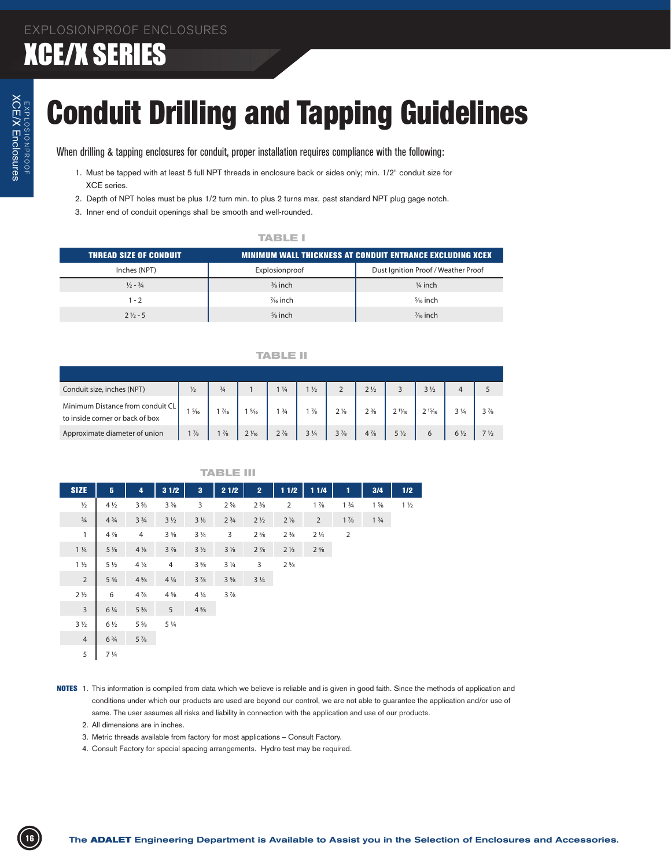# XCE/X Enclosures

## Conduit Drilling and Tapping Guidelines

- 1. Must be tapped with at least 5 full NPT threads in enclosure back or sides only; min. 1/2" conduit size for XCE series.
- 2. Depth of NPT holes must be plus 1/2 turn min. to plus 2 turns max. past standard NPT plug gage notch.
- 3. Inner end of conduit openings shall be smooth and well-rounded.

### **TABLE I**

| <b>THREAD SIZE OF CONDUIT.</b> |                    | <b>MINIMUM WALL THICKNESS AT CONDUIT ENTRANCE EXCLUDING XCEX</b> |
|--------------------------------|--------------------|------------------------------------------------------------------|
| Inches (NPT)                   | Explosionproof     | Dust Ignition Proof / Weather Proof                              |
| $\frac{1}{2} - \frac{3}{4}$    | $\frac{3}{8}$ inch | $\frac{1}{4}$ inch                                               |
| $1 - 2$                        | % inch             | 5/ <sub>6</sub> inch                                             |
| $2\frac{1}{2}$ - 5             | $\frac{5}{8}$ inch | $\frac{7}{6}$ inch                                               |

#### **TABLE II**

| Conduit size, inches (NPT)                                          | $\frac{1}{2}$  | $\frac{3}{4}$  |                 | $\frac{1}{4}$  | 1/2            |                | $2\frac{1}{2}$                |                   | 3 <sub>1/2</sub> |                |                               |
|---------------------------------------------------------------------|----------------|----------------|-----------------|----------------|----------------|----------------|-------------------------------|-------------------|------------------|----------------|-------------------------------|
| Minimum Distance from conduit CL<br>to inside corner or back of box | $\frac{5}{16}$ | $\frac{7}{16}$ | $\frac{9}{16}$  | $1\frac{3}{4}$ | $\frac{7}{8}$  | $2\frac{1}{8}$ | 2 <sup>3</sup> / <sub>8</sub> | $2 \frac{11}{16}$ | 215/16           |                | $3\frac{7}{8}$                |
| Approximate diameter of union                                       | $1\frac{7}{8}$ | $1\frac{7}{8}$ | $2\frac{1}{16}$ | $2\frac{7}{8}$ | $3\frac{1}{4}$ | $3\frac{7}{8}$ | $4\frac{7}{8}$                | $5\frac{1}{2}$    |                  | $6\frac{1}{2}$ | 7 <sup>1</sup> / <sub>2</sub> |

| XCE series.<br>3. Inner end of conduit openings shall be smooth and well-rounded.                                                                      | 2. Depth of NPT holes must be plus 1/2 turn min. to plus 2 turns max. past standard NPT plug gage notch.                                                              |                                                                                                                                               |
|--------------------------------------------------------------------------------------------------------------------------------------------------------|-----------------------------------------------------------------------------------------------------------------------------------------------------------------------|-----------------------------------------------------------------------------------------------------------------------------------------------|
|                                                                                                                                                        | <b>TABLE I</b>                                                                                                                                                        |                                                                                                                                               |
| <b>THREAD SIZE OF CONDUIT</b>                                                                                                                          |                                                                                                                                                                       | <b>MINIMUM WALL THICKNESS AT CONDUIT ENTRANCE EXCLUDING XCEX</b>                                                                              |
| Inches (NPT)                                                                                                                                           | Explosionproof                                                                                                                                                        | Dust Ignition Proof / Weather Proof                                                                                                           |
| $\frac{1}{2} - \frac{3}{4}$                                                                                                                            | $\frac{3}{8}$ inch                                                                                                                                                    | $\frac{1}{4}$ inch                                                                                                                            |
| $1 - 2$                                                                                                                                                | 1/ <sub>6</sub> inch                                                                                                                                                  | % inch                                                                                                                                        |
| $2\frac{1}{2} - 5$                                                                                                                                     | $\frac{5}{8}$ inch                                                                                                                                                    | 1/ <sub>16</sub> inch                                                                                                                         |
|                                                                                                                                                        |                                                                                                                                                                       |                                                                                                                                               |
|                                                                                                                                                        | <b>TABLE II</b>                                                                                                                                                       |                                                                                                                                               |
|                                                                                                                                                        |                                                                                                                                                                       |                                                                                                                                               |
| Conduit size, inches (NPT)<br>$\frac{1}{2}$                                                                                                            | $1\frac{1}{4}$<br>$1\frac{1}{2}$<br>$\overline{2}$<br>$\frac{3}{4}$<br>$\overline{1}$                                                                                 | $2\frac{1}{2}$<br>$3\frac{1}{2}$<br>$\overline{\mathbf{3}}$<br>5 <sup>5</sup><br>$\overline{4}$                                               |
| Minimum Distance from conduit CL<br>$1\frac{5}{16}$                                                                                                    | $1 \frac{3}{4}$<br>$1\frac{7}{6}$<br>$1\frac{9}{16}$<br>$1\frac{7}{8}$<br>$2\frac{1}{8}$                                                                              | $2 \frac{11}{16}$<br>$2\frac{3}{8}$<br>$2^{15/6}$<br>$3\frac{1}{4}$<br>$3\frac{7}{8}$                                                         |
| to inside corner or back of box                                                                                                                        |                                                                                                                                                                       |                                                                                                                                               |
| Approximate diameter of union                                                                                                                          | $2\frac{1}{16}$<br>$2\frac{7}{8}$<br>$1\frac{7}{8}$ 1 $\frac{7}{8}$<br>$3\frac{1}{4}$<br>$3\frac{7}{8}$                                                               | $6\frac{1}{2}$ 7 $\frac{1}{2}$<br>$4\frac{7}{8}$<br>$5\frac{1}{2}$<br>6                                                                       |
|                                                                                                                                                        |                                                                                                                                                                       |                                                                                                                                               |
|                                                                                                                                                        | <b>TABLE III</b>                                                                                                                                                      |                                                                                                                                               |
|                                                                                                                                                        |                                                                                                                                                                       |                                                                                                                                               |
|                                                                                                                                                        |                                                                                                                                                                       |                                                                                                                                               |
| $-3$<br><b>SIZE</b><br>31/2<br>- 5<br>$\overline{a}$<br>$4\frac{1}{2}$<br>$3\frac{5}{8}$<br>$3\frac{3}{8}$<br>$\frac{1}{2}$<br>$\overline{\mathbf{3}}$ | 11/2   11/4  <br>$\mathbf{2}$<br>$2 \t 1\frac{7}{8}$                                                                                                                  | 3/4<br>1/2<br>$-1$<br>$1\frac{5}{8}$ 1 $\frac{1}{2}$<br>$1\frac{3}{4}$                                                                        |
| $\frac{3}{4}$                                                                                                                                          | $2\frac{5}{8}$ 2 $\frac{3}{8}$<br>4 34 3 1/2 3 1/8 2 3/4 2 1/2 2 1/2 2 1/3 1 3/4                                                                                      |                                                                                                                                               |
| $4\frac{7}{8}$<br>$\overline{4}$                                                                                                                       | $3\frac{5}{8}$ $3\frac{1}{4}$ $3$ $2\frac{5}{8}$ $2\frac{3}{8}$ $2\frac{1}{4}$<br>$\overline{2}$                                                                      |                                                                                                                                               |
| $1\frac{1}{4}$<br>$5\frac{1}{8}$                                                                                                                       | $4\frac{1}{8}$ $3\frac{7}{8}$ $3\frac{1}{2}$ $3\frac{1}{8}$ $2\frac{7}{8}$ $2\frac{1}{2}$ $2\frac{3}{8}$                                                              |                                                                                                                                               |
| $1\frac{1}{2}$<br>$5\frac{1}{2}$<br>$4\frac{1}{4}$                                                                                                     | 4 3 % 3 % 3 2 %                                                                                                                                                       |                                                                                                                                               |
| $5\frac{3}{4}$ $4\frac{5}{8}$ $4\frac{1}{4}$ $3\frac{7}{8}$ $3\frac{5}{8}$ $3\frac{1}{4}$<br>$\overline{2}$                                            |                                                                                                                                                                       |                                                                                                                                               |
| $2\frac{1}{2}$<br>6 4 % 4 % 4 % 4 % 3 %                                                                                                                |                                                                                                                                                                       |                                                                                                                                               |
| $6\frac{1}{4}$ $5\frac{3}{8}$ $5$ $4\frac{5}{8}$                                                                                                       |                                                                                                                                                                       |                                                                                                                                               |
| $3\frac{1}{2}$<br>$6\frac{1}{2}$<br>$5\frac{5}{8}$ $5\frac{1}{4}$                                                                                      |                                                                                                                                                                       |                                                                                                                                               |
| $6\frac{3}{4}$ $5\frac{7}{8}$<br>$\overline{4}$                                                                                                        |                                                                                                                                                                       |                                                                                                                                               |
| $7\frac{1}{4}$<br>5 <sup>5</sup>                                                                                                                       |                                                                                                                                                                       |                                                                                                                                               |
|                                                                                                                                                        |                                                                                                                                                                       |                                                                                                                                               |
|                                                                                                                                                        |                                                                                                                                                                       | NOTES 1. This information is compiled from data which we believe is reliable and is given in good faith. Since the methods of application and |
|                                                                                                                                                        | same. The user assumes all risks and liability in connection with the application and use of our products.                                                            | conditions under which our products are used are beyond our control, we are not able to guarantee the application and/or use of               |
| 2. All dimensions are in inches.                                                                                                                       |                                                                                                                                                                       |                                                                                                                                               |
|                                                                                                                                                        | 3. Metric threads available from factory for most applications - Consult Factory.<br>4. Consult Factory for special spacing arrangements. Hydro test may be required. |                                                                                                                                               |

- NOTES 1. This information is compiled from data which we believe is reliable and is given in good faith. Since the methods of application and conditions under which our products are used are beyond our control, we are not able to guarantee the application and/or use of same. The user assumes all risks and liability in connection with the application and use of our products.
	- 2. All dimensions are in inches.
	- 3. Metric threads available from factory for most applications Consult Factory.
	- 4. Consult Factory for special spacing arrangements. Hydro test may be required.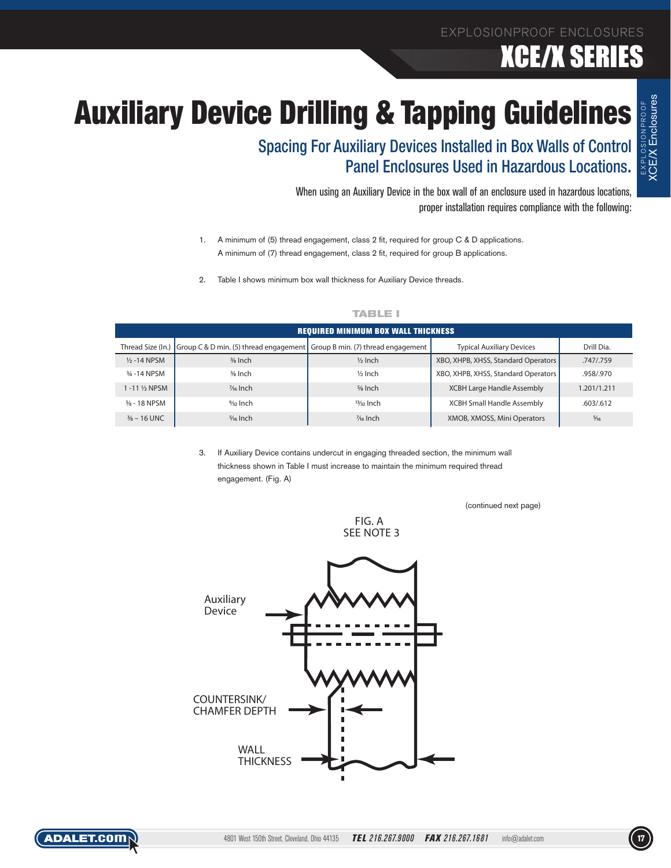### XCE/X SERIES

EXPLOSIONPROOF XCE/X Enclosures

## **Auxiliary Device Drilling & Tapping Guidelines**

Spacing For Auxiliary Devices Installed in Box Walls of Control Panel Enclosures Used in Hazardous Locations.

> When using an Auxiliary Device in the box wall of an enclosure used in hazardous locations, proper installation requires compliance with the following:

- 1. A minimum of (5) thread engagement, class 2 fit, required for group C & D applications. A minimum of (7) thread engagement, class 2 fit, required for group B applications.
- 2. Table I shows minimum box wall thickness for Auxiliary Device threads.

| <b>REQUIRED MINIMUM BOX WALL THICKNESS</b> |                                                                                         |                    |                                     |                |  |  |  |
|--------------------------------------------|-----------------------------------------------------------------------------------------|--------------------|-------------------------------------|----------------|--|--|--|
| Thread Size (In.)                          | $\Box$ Group C & D min. (5) thread engagement $\Box$ Group B min. (7) thread engagement |                    | <b>Typical Auxiliary Devices</b>    | Drill Dia.     |  |  |  |
| $\frac{1}{2}$ -14 NPSM                     | $\frac{3}{8}$ Inch                                                                      | $\frac{1}{2}$ Inch | XBO, XHPB, XHSS, Standard Operators | .747/.759      |  |  |  |
| 3/ <sub>4</sub> -14 NPSM                   | 3/8 Inch                                                                                | $1/2$ Inch         | XBO, XHPB, XHSS, Standard Operators | .958/.970      |  |  |  |
| 1 -11 ½ NPSM                               | $\frac{7}{6}$ Inch                                                                      | $5/8$ Inch         | <b>XCBH Large Handle Assembly</b>   | 1.201/1.211    |  |  |  |
| $\frac{3}{8}$ - 18 NPSM                    | $\frac{9}{32}$ Inch                                                                     | $13/32$ Inch       | <b>XCBH Small Handle Assembly</b>   | .603/.612      |  |  |  |
| $\frac{3}{8}$ – 16 UNC                     | $5/16$ Inch                                                                             | % Inch             | XMOB, XMOSS, Mini Operators         | $\frac{5}{16}$ |  |  |  |

#### **TABLE I**

3. If Auxiliary Device contains undercut in engaging threaded section, the minimum wall thickness shown in Table I must increase to maintain the minimum required thread engagement. (Fig. A)

(continued next page)



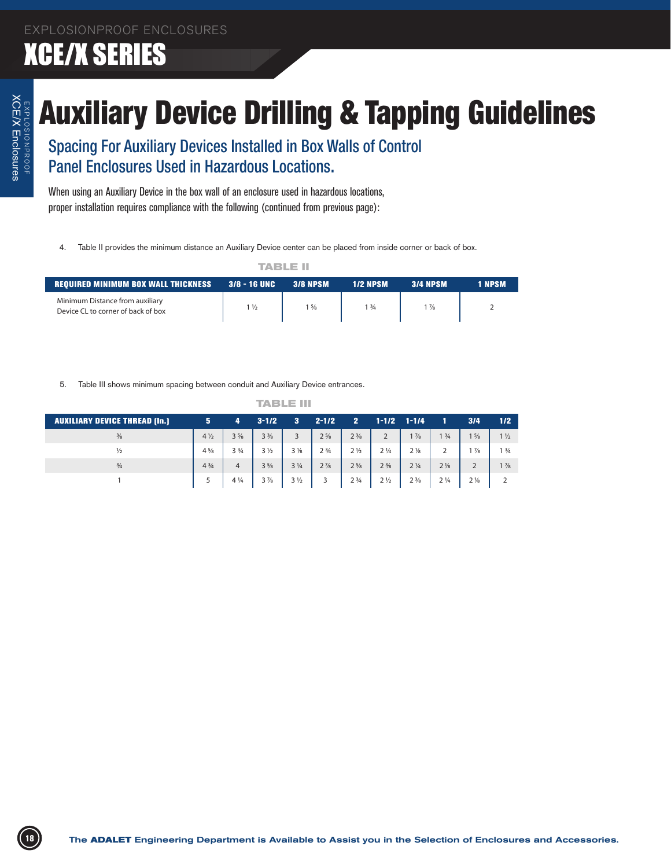## Auxiliary Device Drilling & Tapping Guidelines

| TABLE II                                                              |                |                 |                 |                 |        |  |  |  |
|-----------------------------------------------------------------------|----------------|-----------------|-----------------|-----------------|--------|--|--|--|
| <b>REQUIRED MINIMUM BOX WALL THICKNESS 3/8 - 16 UNC</b>               |                | <b>3/8 NPSM</b> | <b>1/2 NPSM</b> | <b>3/4 NPSM</b> | 1 NPSM |  |  |  |
| Minimum Distance from auxiliary<br>Device CL to corner of back of box | $1\frac{1}{2}$ | $1\frac{5}{8}$  | 13/4            | $1\frac{7}{8}$  |        |  |  |  |

|                                                                                         | 4. Table II provides the minimum distance an Auxiliary Device center can be placed from inside corner or back of box.<br><b>TABLE II</b>                                                                                                                                                                                                                                                                       |                                                                                                                                                                 |                                                                                                                                           |  |  |  |
|-----------------------------------------------------------------------------------------|----------------------------------------------------------------------------------------------------------------------------------------------------------------------------------------------------------------------------------------------------------------------------------------------------------------------------------------------------------------------------------------------------------------|-----------------------------------------------------------------------------------------------------------------------------------------------------------------|-------------------------------------------------------------------------------------------------------------------------------------------|--|--|--|
| <b>REQUIRED MINIMUM BOX WALL THICKNESS</b>                                              | 3/8 - 16 UNC<br><b>3/8 NPSM</b><br><b>1/2 NPSM</b>                                                                                                                                                                                                                                                                                                                                                             | <b>3/4 NPSM</b>                                                                                                                                                 | 1 NPSM                                                                                                                                    |  |  |  |
| Minimum Distance from auxiliary<br>Device CL to corner of back of box                   | $1\frac{1}{2}$<br>$1\frac{5}{8}$<br>$1 \frac{3}{4}$                                                                                                                                                                                                                                                                                                                                                            | $1\frac{7}{8}$                                                                                                                                                  | $\overline{2}$                                                                                                                            |  |  |  |
|                                                                                         |                                                                                                                                                                                                                                                                                                                                                                                                                |                                                                                                                                                                 |                                                                                                                                           |  |  |  |
|                                                                                         | 5. Table III shows minimum spacing between conduit and Auxiliary Device entrances.                                                                                                                                                                                                                                                                                                                             |                                                                                                                                                                 |                                                                                                                                           |  |  |  |
|                                                                                         | <b>TABLE III</b>                                                                                                                                                                                                                                                                                                                                                                                               |                                                                                                                                                                 |                                                                                                                                           |  |  |  |
| <b>AUXILIARY DEVICE THREAD (In.)</b><br>$\frac{3}{8}$<br>$\frac{1}{2}$<br>$\frac{3}{4}$ | $3-1/2$ 3 2-1/2 2 1-1/2 1-1/4 1<br>$5 -$<br>$\overline{4}$<br>$4\frac{1}{2}$<br>$3\frac{5}{8}$<br>$3\frac{3}{8}$<br>$2\frac{5}{8}$<br>$2\frac{3}{8}$<br>$\overline{\mathbf{3}}$<br>$4\frac{5}{8}$<br>$3\frac{3}{4}$<br>$2 \frac{3}{4}$<br>$2\frac{1}{2}$<br>$3\frac{1}{2}$<br>$3\frac{1}{8}$<br>$4 \frac{3}{4}$<br>$2\frac{7}{8}$<br>$2\frac{5}{8}$<br>4<br>$3\frac{5}{8}$<br>$3\frac{1}{4}$<br>$4\frac{1}{4}$ | $1 \frac{3}{4}$<br>$1\frac{7}{8}$<br>$\overline{2}$<br>$2\frac{1}{8}$<br>$\overline{2}$<br>$2\frac{1}{4}$<br>$2\frac{3}{8}$<br>$2\frac{1}{4}$<br>$2\frac{1}{8}$ | 3/4<br>1/2<br>$1\frac{5}{8}$<br>$1\frac{1}{2}$<br>$1\frac{7}{8}$<br>$1 \frac{3}{4}$<br>$\overline{2}$<br>$1\frac{7}{8}$<br>$2\frac{1}{8}$ |  |  |  |
| $\overline{1}$                                                                          | 5 <sup>5</sup><br>$3\frac{7}{8}$<br>$3\frac{1}{2}$<br>2 <sup>3</sup> / <sub>4</sub><br>$\overline{3}$                                                                                                                                                                                                                                                                                                          | $2\frac{1}{4}$<br>$2\frac{1}{2}$<br>$2\frac{3}{8}$                                                                                                              | $\overline{2}$                                                                                                                            |  |  |  |
|                                                                                         |                                                                                                                                                                                                                                                                                                                                                                                                                |                                                                                                                                                                 |                                                                                                                                           |  |  |  |
|                                                                                         |                                                                                                                                                                                                                                                                                                                                                                                                                |                                                                                                                                                                 |                                                                                                                                           |  |  |  |
|                                                                                         |                                                                                                                                                                                                                                                                                                                                                                                                                |                                                                                                                                                                 |                                                                                                                                           |  |  |  |
|                                                                                         |                                                                                                                                                                                                                                                                                                                                                                                                                |                                                                                                                                                                 |                                                                                                                                           |  |  |  |
|                                                                                         |                                                                                                                                                                                                                                                                                                                                                                                                                |                                                                                                                                                                 |                                                                                                                                           |  |  |  |
|                                                                                         |                                                                                                                                                                                                                                                                                                                                                                                                                |                                                                                                                                                                 |                                                                                                                                           |  |  |  |
|                                                                                         |                                                                                                                                                                                                                                                                                                                                                                                                                |                                                                                                                                                                 |                                                                                                                                           |  |  |  |
|                                                                                         |                                                                                                                                                                                                                                                                                                                                                                                                                |                                                                                                                                                                 |                                                                                                                                           |  |  |  |
|                                                                                         |                                                                                                                                                                                                                                                                                                                                                                                                                |                                                                                                                                                                 |                                                                                                                                           |  |  |  |
|                                                                                         |                                                                                                                                                                                                                                                                                                                                                                                                                |                                                                                                                                                                 |                                                                                                                                           |  |  |  |
|                                                                                         |                                                                                                                                                                                                                                                                                                                                                                                                                |                                                                                                                                                                 |                                                                                                                                           |  |  |  |
|                                                                                         |                                                                                                                                                                                                                                                                                                                                                                                                                |                                                                                                                                                                 |                                                                                                                                           |  |  |  |
|                                                                                         |                                                                                                                                                                                                                                                                                                                                                                                                                |                                                                                                                                                                 |                                                                                                                                           |  |  |  |
|                                                                                         |                                                                                                                                                                                                                                                                                                                                                                                                                |                                                                                                                                                                 |                                                                                                                                           |  |  |  |
|                                                                                         |                                                                                                                                                                                                                                                                                                                                                                                                                |                                                                                                                                                                 |                                                                                                                                           |  |  |  |
|                                                                                         |                                                                                                                                                                                                                                                                                                                                                                                                                |                                                                                                                                                                 |                                                                                                                                           |  |  |  |